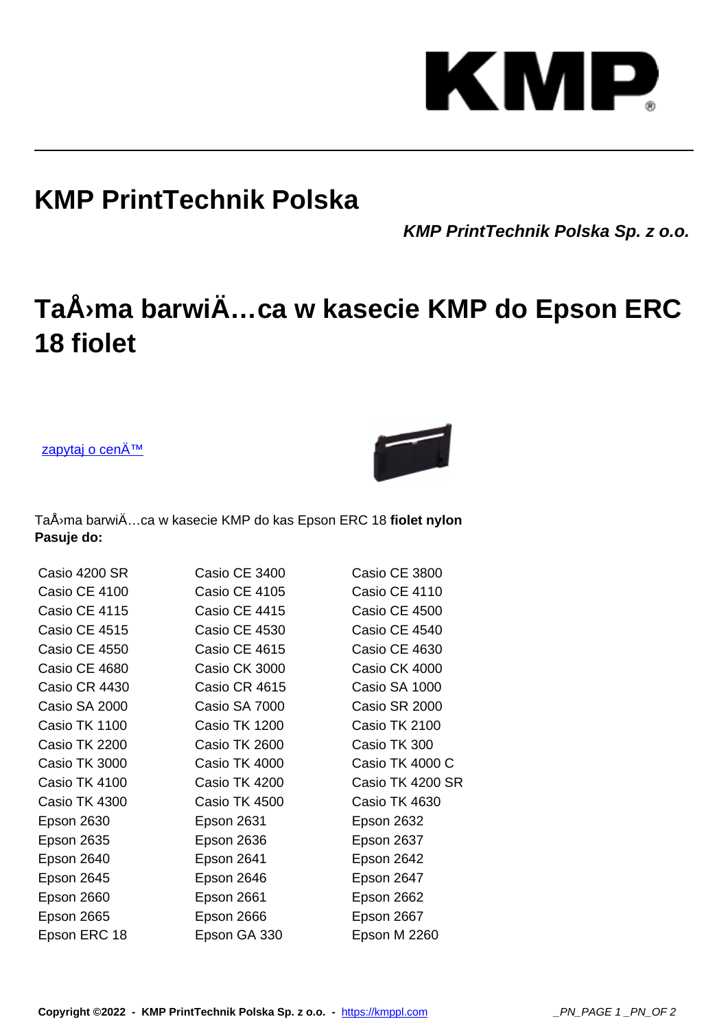## KM Р

## **KMP PrintTechnik Polska**

**KMP PrintTechnik Polska Sp. z o.o.**

## TaÅ>ma barwiÄ...ca w kasecie KMP do Epson ERC **18 fiolet**

zapytaj o cenÄ™



TaÅ<sup>,</sup> ma barwiÄ...ca w kasecie KMP do kas Epson ERC 18 fiolet nylon **Pasuje do:**

| Casio 4200 SR     | Casio CE 3400 | Casio CE 3800    |
|-------------------|---------------|------------------|
| Casio CE 4100     | Casio CE 4105 | Casio CE 4110    |
| Casio CE 4115     | Casio CE 4415 | Casio CE 4500    |
| Casio CE 4515     | Casio CE 4530 | Casio CE 4540    |
| Casio CE 4550     | Casio CE 4615 | Casio CE 4630    |
| Casio CE 4680     | Casio CK 3000 | Casio CK 4000    |
| Casio CR 4430     | Casio CR 4615 | Casio SA 1000    |
| Casio SA 2000     | Casio SA 7000 | Casio SR 2000    |
| Casio TK 1100     | Casio TK 1200 | Casio TK 2100    |
| Casio TK 2200     | Casio TK 2600 | Casio TK 300     |
| Casio TK 3000     | Casio TK 4000 | Casio TK 4000 C  |
| Casio TK 4100     | Casio TK 4200 | Casio TK 4200 SR |
| Casio TK 4300     | Casio TK 4500 | Casio TK 4630    |
| Epson 2630        | Epson 2631    | Epson 2632       |
| <b>Epson 2635</b> | Epson 2636    | Epson 2637       |
| Epson 2640        | Epson 2641    | Epson 2642       |
| Epson 2645        | Epson 2646    | Epson 2647       |
| Epson 2660        | Epson 2661    | Epson 2662       |
| <b>Epson 2665</b> | Epson 2666    | Epson 2667       |
| Epson ERC 18      | Epson GA 330  | Epson M 2260     |